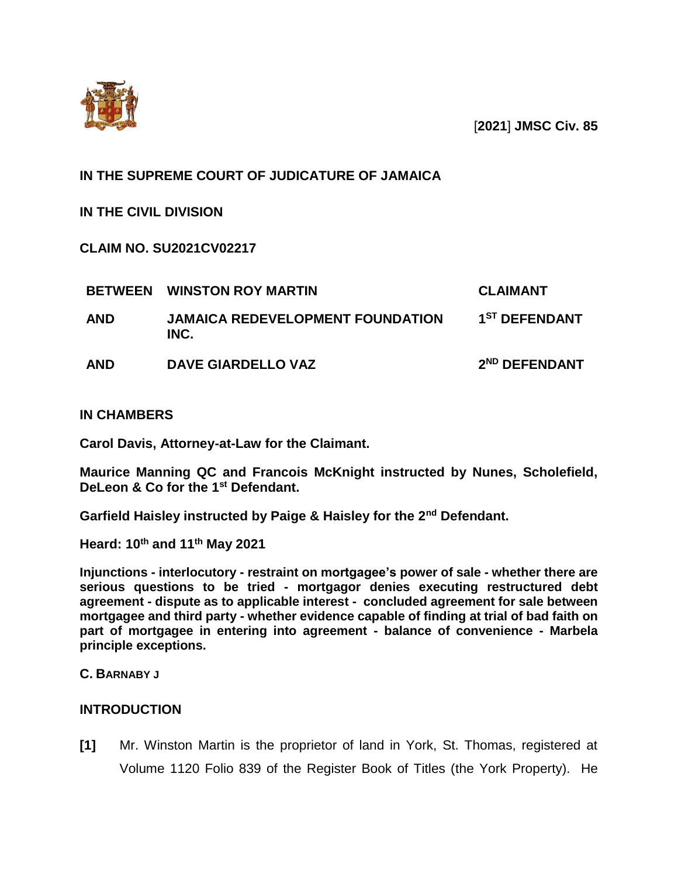

[**2021**] **JMSC Civ. 85**

# **IN THE SUPREME COURT OF JUDICATURE OF JAMAICA**

**IN THE CIVIL DIVISION**

**CLAIM NO. SU2021CV02217**

| <b>BETWEEN</b> | <b>WINSTON ROY MARTIN</b>                       | <b>CLAIMANT</b>           |
|----------------|-------------------------------------------------|---------------------------|
| <b>AND</b>     | <b>JAMAICA REDEVELOPMENT FOUNDATION</b><br>INC. | 1 <sup>ST</sup> DEFENDANT |
| <b>AND</b>     | <b>DAVE GIARDELLO VAZ</b>                       | 2 <sup>ND</sup> DEFENDANT |

## **IN CHAMBERS**

**Carol Davis, Attorney-at-Law for the Claimant.**

**Maurice Manning QC and Francois McKnight instructed by Nunes, Scholefield, DeLeon & Co for the 1st Defendant.** 

**Garfield Haisley instructed by Paige & Haisley for the 2nd Defendant.** 

**Heard: 10th and 11th May 2021** 

**Injunctions - interlocutory - restraint on mortgagee's power of sale - whether there are serious questions to be tried - mortgagor denies executing restructured debt agreement - dispute as to applicable interest - concluded agreement for sale between mortgagee and third party - whether evidence capable of finding at trial of bad faith on part of mortgagee in entering into agreement - balance of convenience - Marbela principle exceptions.**

**C. BARNABY J**

## **INTRODUCTION**

**[1]** Mr. Winston Martin is the proprietor of land in York, St. Thomas, registered at Volume 1120 Folio 839 of the Register Book of Titles (the York Property). He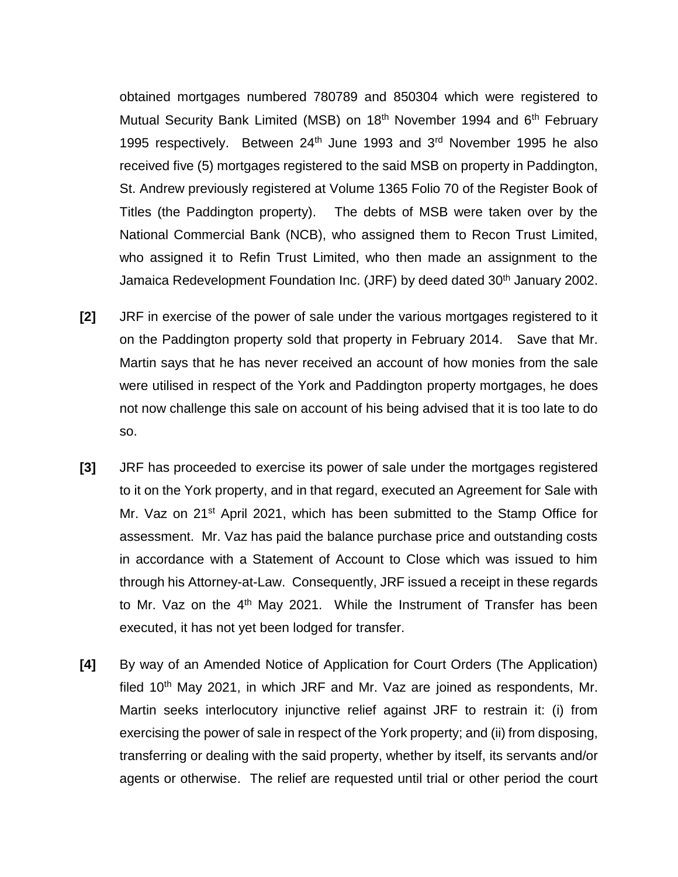obtained mortgages numbered 780789 and 850304 which were registered to Mutual Security Bank Limited (MSB) on 18<sup>th</sup> November 1994 and 6<sup>th</sup> February 1995 respectively. Between 24th June 1993 and 3rd November 1995 he also received five (5) mortgages registered to the said MSB on property in Paddington, St. Andrew previously registered at Volume 1365 Folio 70 of the Register Book of Titles (the Paddington property). The debts of MSB were taken over by the National Commercial Bank (NCB), who assigned them to Recon Trust Limited, who assigned it to Refin Trust Limited, who then made an assignment to the Jamaica Redevelopment Foundation Inc. (JRF) by deed dated 30<sup>th</sup> January 2002.

- **[2]** JRF in exercise of the power of sale under the various mortgages registered to it on the Paddington property sold that property in February 2014. Save that Mr. Martin says that he has never received an account of how monies from the sale were utilised in respect of the York and Paddington property mortgages, he does not now challenge this sale on account of his being advised that it is too late to do so.
- **[3]** JRF has proceeded to exercise its power of sale under the mortgages registered to it on the York property, and in that regard, executed an Agreement for Sale with Mr. Vaz on 21<sup>st</sup> April 2021, which has been submitted to the Stamp Office for assessment. Mr. Vaz has paid the balance purchase price and outstanding costs in accordance with a Statement of Account to Close which was issued to him through his Attorney-at-Law. Consequently, JRF issued a receipt in these regards to Mr. Vaz on the 4<sup>th</sup> May 2021. While the Instrument of Transfer has been executed, it has not yet been lodged for transfer.
- **[4]** By way of an Amended Notice of Application for Court Orders (The Application) filed  $10<sup>th</sup>$  May 2021, in which JRF and Mr. Vaz are joined as respondents, Mr. Martin seeks interlocutory injunctive relief against JRF to restrain it: (i) from exercising the power of sale in respect of the York property; and (ii) from disposing, transferring or dealing with the said property, whether by itself, its servants and/or agents or otherwise. The relief are requested until trial or other period the court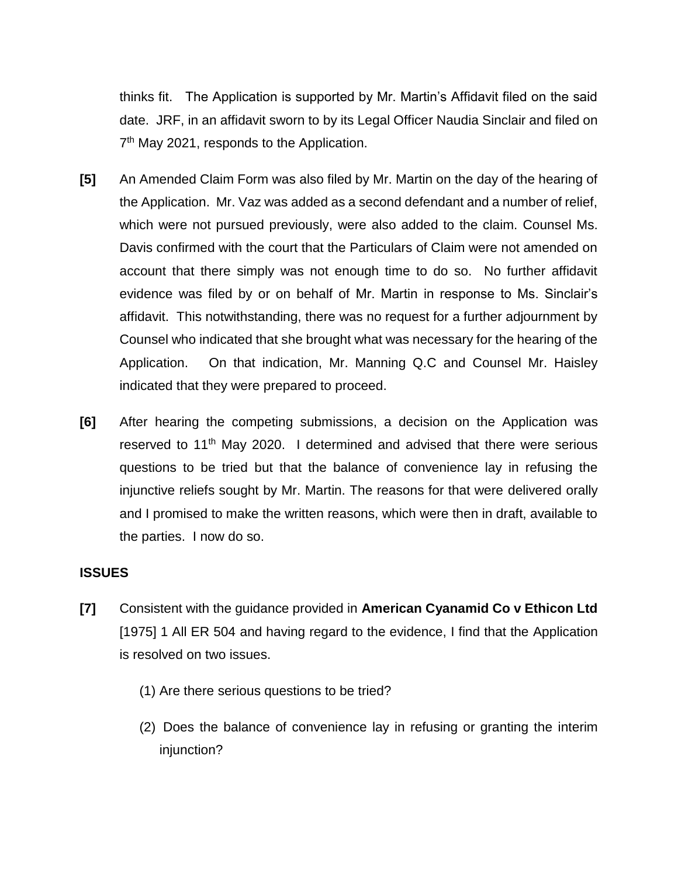thinks fit. The Application is supported by Mr. Martin's Affidavit filed on the said date. JRF, in an affidavit sworn to by its Legal Officer Naudia Sinclair and filed on 7<sup>th</sup> May 2021, responds to the Application.

- **[5]** An Amended Claim Form was also filed by Mr. Martin on the day of the hearing of the Application. Mr. Vaz was added as a second defendant and a number of relief, which were not pursued previously, were also added to the claim. Counsel Ms. Davis confirmed with the court that the Particulars of Claim were not amended on account that there simply was not enough time to do so. No further affidavit evidence was filed by or on behalf of Mr. Martin in response to Ms. Sinclair's affidavit. This notwithstanding, there was no request for a further adjournment by Counsel who indicated that she brought what was necessary for the hearing of the Application. On that indication, Mr. Manning Q.C and Counsel Mr. Haisley indicated that they were prepared to proceed.
- **[6]** After hearing the competing submissions, a decision on the Application was reserved to 11<sup>th</sup> May 2020. I determined and advised that there were serious questions to be tried but that the balance of convenience lay in refusing the injunctive reliefs sought by Mr. Martin. The reasons for that were delivered orally and I promised to make the written reasons, which were then in draft, available to the parties. I now do so.

## **ISSUES**

- **[7]** Consistent with the guidance provided in **American Cyanamid Co v Ethicon Ltd** [1975] 1 All ER 504 and having regard to the evidence, I find that the Application is resolved on two issues.
	- (1) Are there serious questions to be tried?
	- (2) Does the balance of convenience lay in refusing or granting the interim injunction?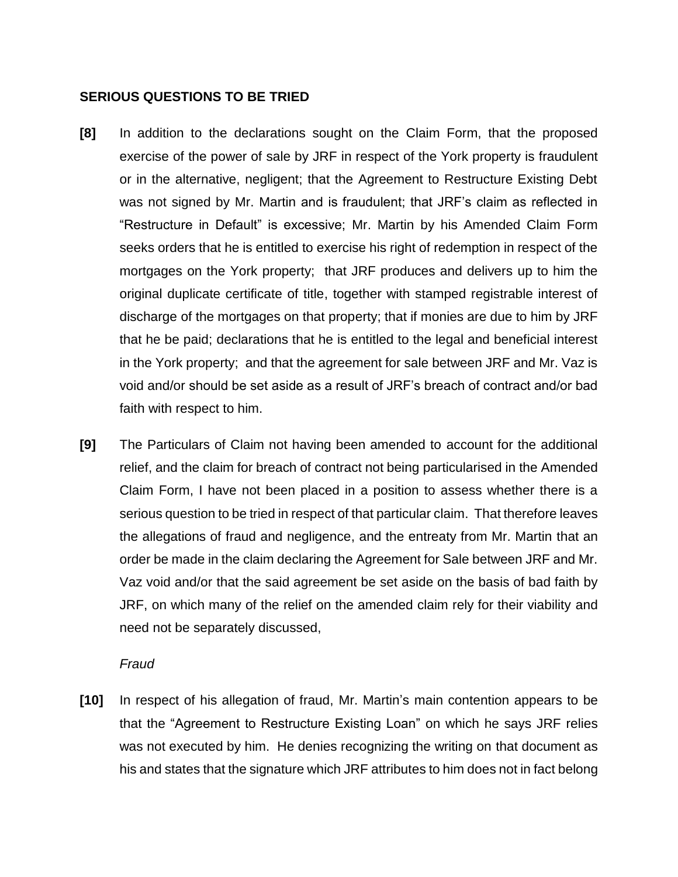## **SERIOUS QUESTIONS TO BE TRIED**

- **[8]** In addition to the declarations sought on the Claim Form, that the proposed exercise of the power of sale by JRF in respect of the York property is fraudulent or in the alternative, negligent; that the Agreement to Restructure Existing Debt was not signed by Mr. Martin and is fraudulent; that JRF's claim as reflected in "Restructure in Default" is excessive; Mr. Martin by his Amended Claim Form seeks orders that he is entitled to exercise his right of redemption in respect of the mortgages on the York property; that JRF produces and delivers up to him the original duplicate certificate of title, together with stamped registrable interest of discharge of the mortgages on that property; that if monies are due to him by JRF that he be paid; declarations that he is entitled to the legal and beneficial interest in the York property; and that the agreement for sale between JRF and Mr. Vaz is void and/or should be set aside as a result of JRF's breach of contract and/or bad faith with respect to him.
- **[9]** The Particulars of Claim not having been amended to account for the additional relief, and the claim for breach of contract not being particularised in the Amended Claim Form, I have not been placed in a position to assess whether there is a serious question to be tried in respect of that particular claim. That therefore leaves the allegations of fraud and negligence, and the entreaty from Mr. Martin that an order be made in the claim declaring the Agreement for Sale between JRF and Mr. Vaz void and/or that the said agreement be set aside on the basis of bad faith by JRF, on which many of the relief on the amended claim rely for their viability and need not be separately discussed,

#### *Fraud*

**[10]** In respect of his allegation of fraud, Mr. Martin's main contention appears to be that the "Agreement to Restructure Existing Loan" on which he says JRF relies was not executed by him. He denies recognizing the writing on that document as his and states that the signature which JRF attributes to him does not in fact belong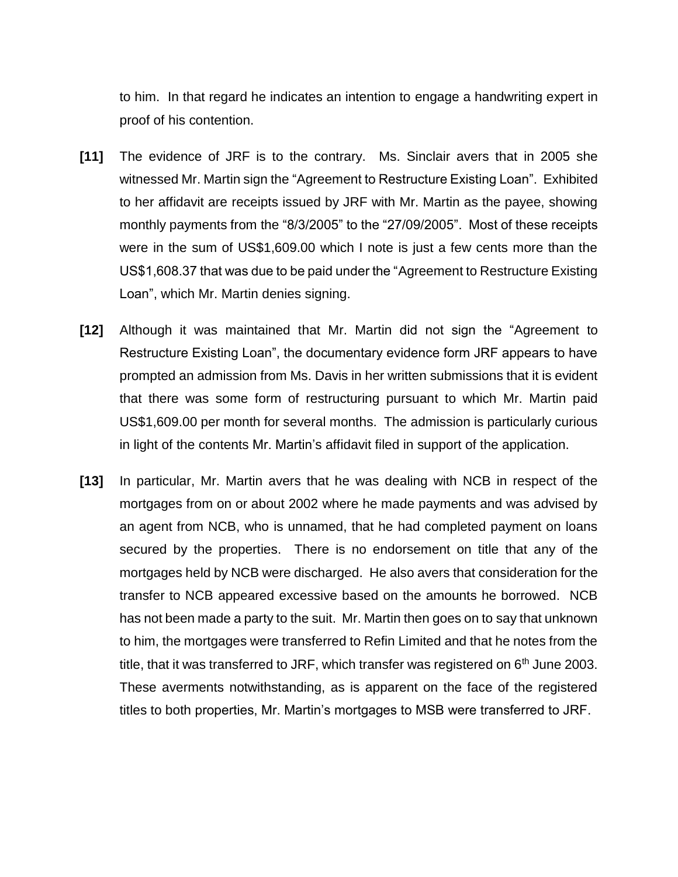to him. In that regard he indicates an intention to engage a handwriting expert in proof of his contention.

- **[11]** The evidence of JRF is to the contrary. Ms. Sinclair avers that in 2005 she witnessed Mr. Martin sign the "Agreement to Restructure Existing Loan". Exhibited to her affidavit are receipts issued by JRF with Mr. Martin as the payee, showing monthly payments from the "8/3/2005" to the "27/09/2005". Most of these receipts were in the sum of US\$1,609.00 which I note is just a few cents more than the US\$1,608.37 that was due to be paid under the "Agreement to Restructure Existing Loan", which Mr. Martin denies signing.
- **[12]** Although it was maintained that Mr. Martin did not sign the "Agreement to Restructure Existing Loan", the documentary evidence form JRF appears to have prompted an admission from Ms. Davis in her written submissions that it is evident that there was some form of restructuring pursuant to which Mr. Martin paid US\$1,609.00 per month for several months. The admission is particularly curious in light of the contents Mr. Martin's affidavit filed in support of the application.
- **[13]** In particular, Mr. Martin avers that he was dealing with NCB in respect of the mortgages from on or about 2002 where he made payments and was advised by an agent from NCB, who is unnamed, that he had completed payment on loans secured by the properties. There is no endorsement on title that any of the mortgages held by NCB were discharged. He also avers that consideration for the transfer to NCB appeared excessive based on the amounts he borrowed. NCB has not been made a party to the suit. Mr. Martin then goes on to say that unknown to him, the mortgages were transferred to Refin Limited and that he notes from the title, that it was transferred to JRF, which transfer was registered on  $6<sup>th</sup>$  June 2003. These averments notwithstanding, as is apparent on the face of the registered titles to both properties, Mr. Martin's mortgages to MSB were transferred to JRF.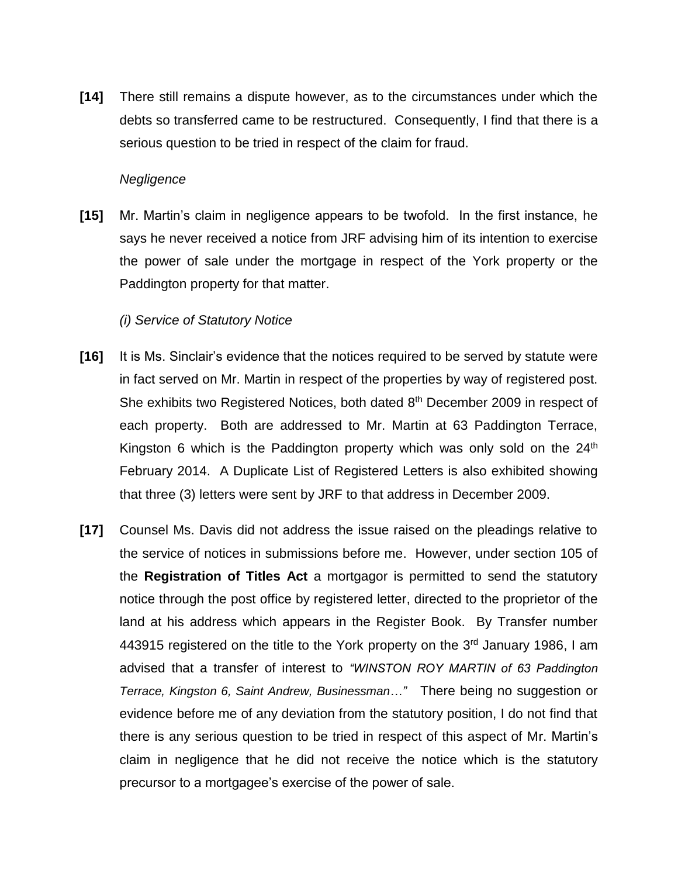**[14]** There still remains a dispute however, as to the circumstances under which the debts so transferred came to be restructured. Consequently, I find that there is a serious question to be tried in respect of the claim for fraud.

### *Negligence*

**[15]** Mr. Martin's claim in negligence appears to be twofold. In the first instance, he says he never received a notice from JRF advising him of its intention to exercise the power of sale under the mortgage in respect of the York property or the Paddington property for that matter.

### *(i) Service of Statutory Notice*

- **[16]** It is Ms. Sinclair's evidence that the notices required to be served by statute were in fact served on Mr. Martin in respect of the properties by way of registered post. She exhibits two Registered Notices, both dated 8<sup>th</sup> December 2009 in respect of each property. Both are addressed to Mr. Martin at 63 Paddington Terrace, Kingston 6 which is the Paddington property which was only sold on the  $24<sup>th</sup>$ February 2014. A Duplicate List of Registered Letters is also exhibited showing that three (3) letters were sent by JRF to that address in December 2009.
- **[17]** Counsel Ms. Davis did not address the issue raised on the pleadings relative to the service of notices in submissions before me. However, under section 105 of the **Registration of Titles Act** a mortgagor is permitted to send the statutory notice through the post office by registered letter, directed to the proprietor of the land at his address which appears in the Register Book. By Transfer number 443915 registered on the title to the York property on the 3<sup>rd</sup> January 1986, I am advised that a transfer of interest to *"WINSTON ROY MARTIN of 63 Paddington Terrace, Kingston 6, Saint Andrew, Businessman…"* There being no suggestion or evidence before me of any deviation from the statutory position, I do not find that there is any serious question to be tried in respect of this aspect of Mr. Martin's claim in negligence that he did not receive the notice which is the statutory precursor to a mortgagee's exercise of the power of sale.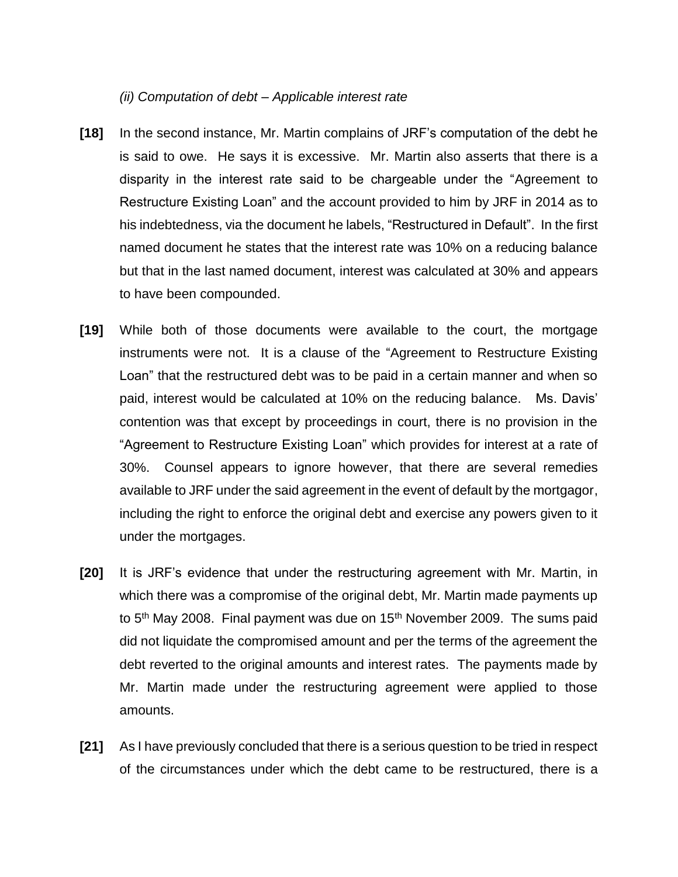#### *(ii) Computation of debt – Applicable interest rate*

- **[18]** In the second instance, Mr. Martin complains of JRF's computation of the debt he is said to owe. He says it is excessive. Mr. Martin also asserts that there is a disparity in the interest rate said to be chargeable under the "Agreement to Restructure Existing Loan" and the account provided to him by JRF in 2014 as to his indebtedness, via the document he labels, "Restructured in Default". In the first named document he states that the interest rate was 10% on a reducing balance but that in the last named document, interest was calculated at 30% and appears to have been compounded.
- **[19]** While both of those documents were available to the court, the mortgage instruments were not. It is a clause of the "Agreement to Restructure Existing Loan" that the restructured debt was to be paid in a certain manner and when so paid, interest would be calculated at 10% on the reducing balance. Ms. Davis' contention was that except by proceedings in court, there is no provision in the "Agreement to Restructure Existing Loan" which provides for interest at a rate of 30%. Counsel appears to ignore however, that there are several remedies available to JRF under the said agreement in the event of default by the mortgagor, including the right to enforce the original debt and exercise any powers given to it under the mortgages.
- **[20]** It is JRF's evidence that under the restructuring agreement with Mr. Martin, in which there was a compromise of the original debt, Mr. Martin made payments up to  $5<sup>th</sup>$  May 2008. Final payment was due on  $15<sup>th</sup>$  November 2009. The sums paid did not liquidate the compromised amount and per the terms of the agreement the debt reverted to the original amounts and interest rates. The payments made by Mr. Martin made under the restructuring agreement were applied to those amounts.
- **[21]** As I have previously concluded that there is a serious question to be tried in respect of the circumstances under which the debt came to be restructured, there is a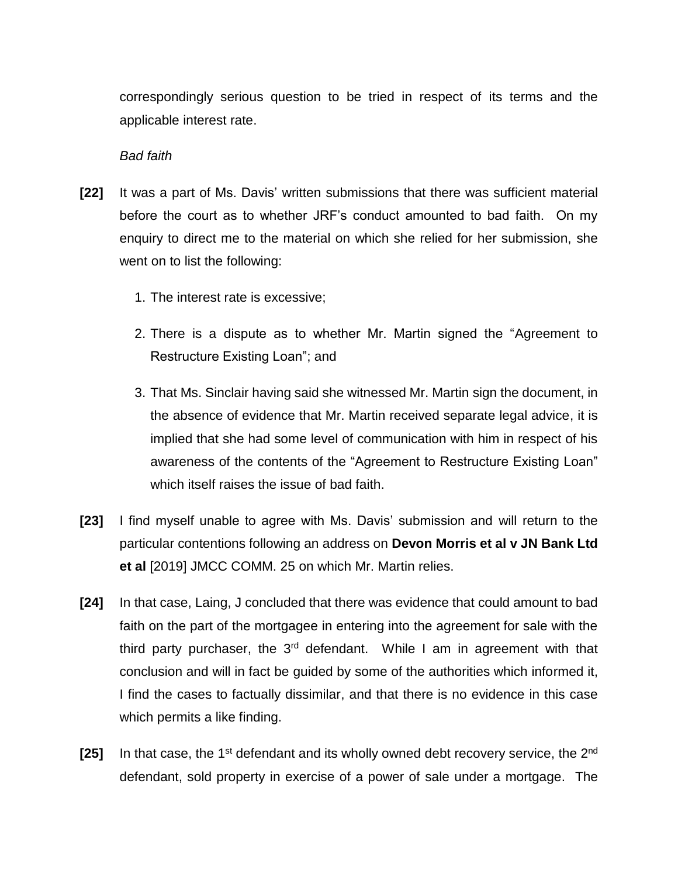correspondingly serious question to be tried in respect of its terms and the applicable interest rate.

#### *Bad faith*

- **[22]** It was a part of Ms. Davis' written submissions that there was sufficient material before the court as to whether JRF's conduct amounted to bad faith. On my enquiry to direct me to the material on which she relied for her submission, she went on to list the following:
	- 1. The interest rate is excessive;
	- 2. There is a dispute as to whether Mr. Martin signed the "Agreement to Restructure Existing Loan"; and
	- 3. That Ms. Sinclair having said she witnessed Mr. Martin sign the document, in the absence of evidence that Mr. Martin received separate legal advice, it is implied that she had some level of communication with him in respect of his awareness of the contents of the "Agreement to Restructure Existing Loan" which itself raises the issue of bad faith.
- **[23]** I find myself unable to agree with Ms. Davis' submission and will return to the particular contentions following an address on **Devon Morris et al v JN Bank Ltd et al** [2019] JMCC COMM. 25 on which Mr. Martin relies.
- **[24]** In that case, Laing, J concluded that there was evidence that could amount to bad faith on the part of the mortgagee in entering into the agreement for sale with the third party purchaser, the  $3<sup>rd</sup>$  defendant. While I am in agreement with that conclusion and will in fact be guided by some of the authorities which informed it, I find the cases to factually dissimilar, and that there is no evidence in this case which permits a like finding.
- **[25]** In that case, the 1<sup>st</sup> defendant and its wholly owned debt recovery service, the 2<sup>nd</sup> defendant, sold property in exercise of a power of sale under a mortgage. The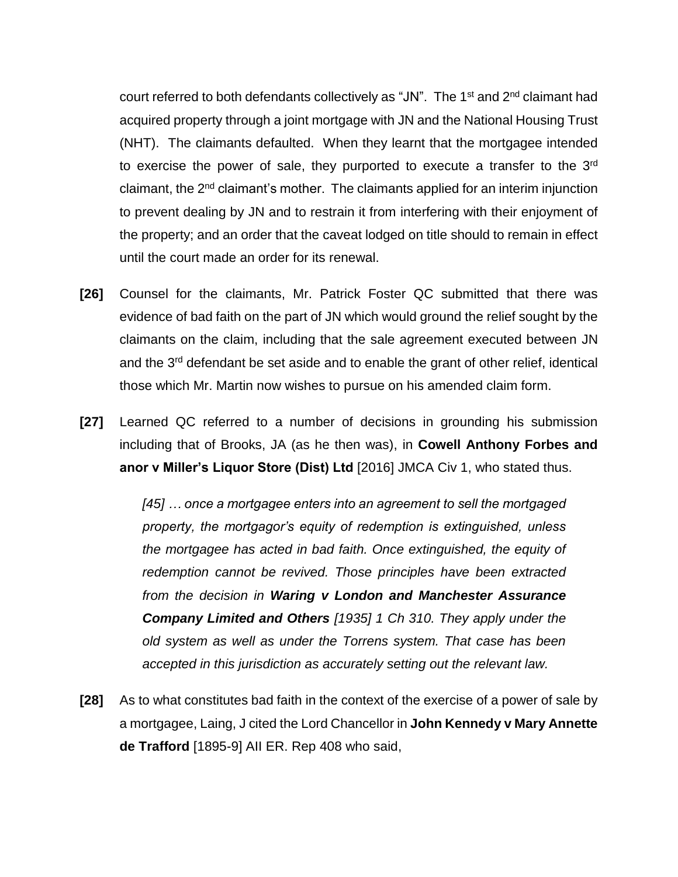court referred to both defendants collectively as "JN". The 1<sup>st</sup> and 2<sup>nd</sup> claimant had acquired property through a joint mortgage with JN and the National Housing Trust (NHT). The claimants defaulted. When they learnt that the mortgagee intended to exercise the power of sale, they purported to execute a transfer to the 3rd claimant, the 2<sup>nd</sup> claimant's mother. The claimants applied for an interim injunction to prevent dealing by JN and to restrain it from interfering with their enjoyment of the property; and an order that the caveat lodged on title should to remain in effect until the court made an order for its renewal.

- **[26]** Counsel for the claimants, Mr. Patrick Foster QC submitted that there was evidence of bad faith on the part of JN which would ground the relief sought by the claimants on the claim, including that the sale agreement executed between JN and the 3<sup>rd</sup> defendant be set aside and to enable the grant of other relief, identical those which Mr. Martin now wishes to pursue on his amended claim form.
- **[27]** Learned QC referred to a number of decisions in grounding his submission including that of Brooks, JA (as he then was), in **Cowell Anthony Forbes and anor v Miller's Liquor Store (Dist) Ltd** [2016] JMCA Civ 1, who stated thus.

*[45] … once a mortgagee enters into an agreement to sell the mortgaged property, the mortgagor's equity of redemption is extinguished, unless the mortgagee has acted in bad faith. Once extinguished, the equity of redemption cannot be revived. Those principles have been extracted from the decision in Waring v London and Manchester Assurance Company Limited and Others [1935] 1 Ch 310. They apply under the old system as well as under the Torrens system. That case has been accepted in this jurisdiction as accurately setting out the relevant law.*

**[28]** As to what constitutes bad faith in the context of the exercise of a power of sale by a mortgagee, Laing, J cited the Lord Chancellor in **John Kennedy v Mary Annette de Trafford** [1895-9] AII ER. Rep 408 who said,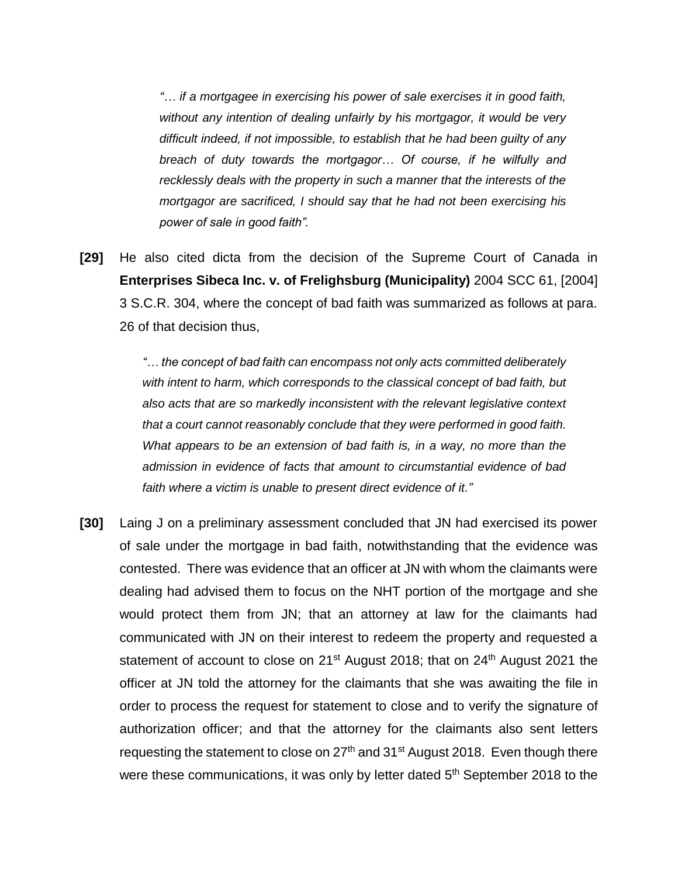*"… if a mortgagee in exercising his power of sale exercises it in good faith, without any intention of dealing unfairly by his mortgagor, it would be very difficult indeed, if not impossible, to establish that he had been guilty of any breach of duty towards the mortgagor… Of course, if he wilfully and recklessly deals with the property in such a manner that the interests of the mortgagor are sacrificed, I should say that he had not been exercising his power of sale in good faith".*

**[29]** He also cited dicta from the decision of the Supreme Court of Canada in **Enterprises Sibeca Inc. v. of Frelighsburg (Municipality)** 2004 SCC 61, [2004] 3 S.C.R. 304, where the concept of bad faith was summarized as follows at para. 26 of that decision thus,

> *"… the concept of bad faith can encompass not only acts committed deliberately with intent to harm, which corresponds to the classical concept of bad faith, but also acts that are so markedly inconsistent with the relevant legislative context that a court cannot reasonably conclude that they were performed in good faith. What appears to be an extension of bad faith is, in a way, no more than the admission in evidence of facts that amount to circumstantial evidence of bad faith where a victim is unable to present direct evidence of it."*

**[30]** Laing J on a preliminary assessment concluded that JN had exercised its power of sale under the mortgage in bad faith, notwithstanding that the evidence was contested. There was evidence that an officer at JN with whom the claimants were dealing had advised them to focus on the NHT portion of the mortgage and she would protect them from JN; that an attorney at law for the claimants had communicated with JN on their interest to redeem the property and requested a statement of account to close on 21<sup>st</sup> August 2018; that on 24<sup>th</sup> August 2021 the officer at JN told the attorney for the claimants that she was awaiting the file in order to process the request for statement to close and to verify the signature of authorization officer; and that the attorney for the claimants also sent letters requesting the statement to close on  $27<sup>th</sup>$  and  $31<sup>st</sup>$  August 2018. Even though there were these communications, it was only by letter dated 5<sup>th</sup> September 2018 to the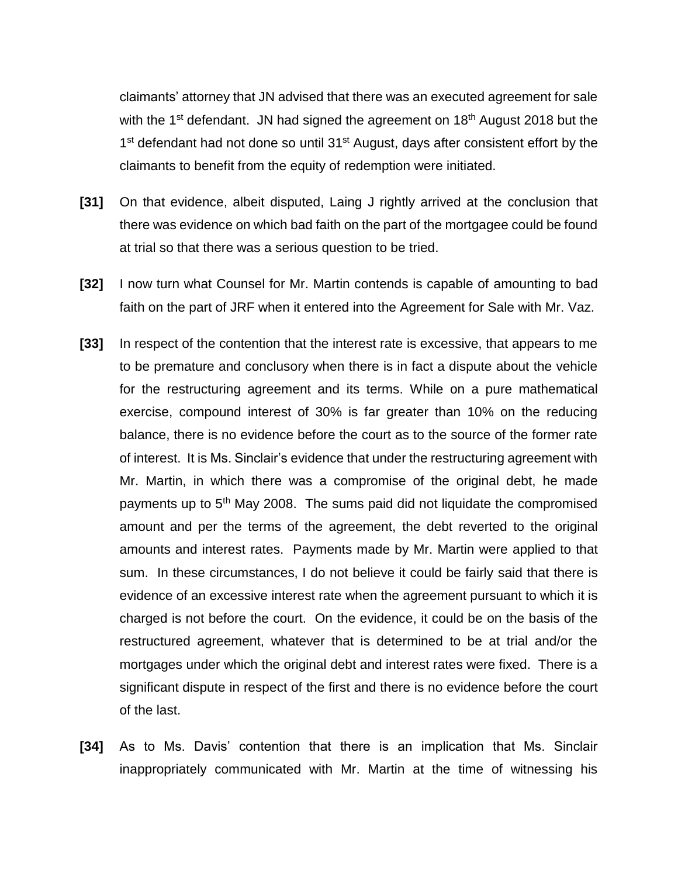claimants' attorney that JN advised that there was an executed agreement for sale with the 1<sup>st</sup> defendant. JN had signed the agreement on 18<sup>th</sup> August 2018 but the 1<sup>st</sup> defendant had not done so until 31<sup>st</sup> August, days after consistent effort by the claimants to benefit from the equity of redemption were initiated.

- **[31]** On that evidence, albeit disputed, Laing J rightly arrived at the conclusion that there was evidence on which bad faith on the part of the mortgagee could be found at trial so that there was a serious question to be tried.
- **[32]** I now turn what Counsel for Mr. Martin contends is capable of amounting to bad faith on the part of JRF when it entered into the Agreement for Sale with Mr. Vaz.
- **[33]** In respect of the contention that the interest rate is excessive, that appears to me to be premature and conclusory when there is in fact a dispute about the vehicle for the restructuring agreement and its terms. While on a pure mathematical exercise, compound interest of 30% is far greater than 10% on the reducing balance, there is no evidence before the court as to the source of the former rate of interest. It is Ms. Sinclair's evidence that under the restructuring agreement with Mr. Martin, in which there was a compromise of the original debt, he made payments up to 5th May 2008. The sums paid did not liquidate the compromised amount and per the terms of the agreement, the debt reverted to the original amounts and interest rates. Payments made by Mr. Martin were applied to that sum. In these circumstances, I do not believe it could be fairly said that there is evidence of an excessive interest rate when the agreement pursuant to which it is charged is not before the court. On the evidence, it could be on the basis of the restructured agreement, whatever that is determined to be at trial and/or the mortgages under which the original debt and interest rates were fixed. There is a significant dispute in respect of the first and there is no evidence before the court of the last.
- **[34]** As to Ms. Davis' contention that there is an implication that Ms. Sinclair inappropriately communicated with Mr. Martin at the time of witnessing his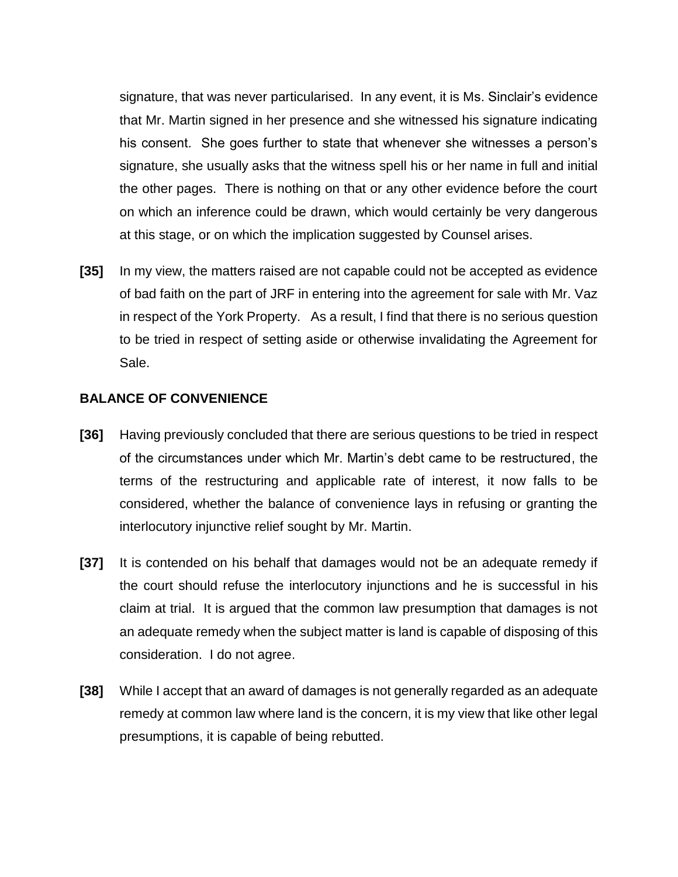signature, that was never particularised. In any event, it is Ms. Sinclair's evidence that Mr. Martin signed in her presence and she witnessed his signature indicating his consent. She goes further to state that whenever she witnesses a person's signature, she usually asks that the witness spell his or her name in full and initial the other pages. There is nothing on that or any other evidence before the court on which an inference could be drawn, which would certainly be very dangerous at this stage, or on which the implication suggested by Counsel arises.

**[35]** In my view, the matters raised are not capable could not be accepted as evidence of bad faith on the part of JRF in entering into the agreement for sale with Mr. Vaz in respect of the York Property. As a result, I find that there is no serious question to be tried in respect of setting aside or otherwise invalidating the Agreement for Sale.

### **BALANCE OF CONVENIENCE**

- **[36]** Having previously concluded that there are serious questions to be tried in respect of the circumstances under which Mr. Martin's debt came to be restructured, the terms of the restructuring and applicable rate of interest, it now falls to be considered, whether the balance of convenience lays in refusing or granting the interlocutory injunctive relief sought by Mr. Martin.
- **[37]** It is contended on his behalf that damages would not be an adequate remedy if the court should refuse the interlocutory injunctions and he is successful in his claim at trial. It is argued that the common law presumption that damages is not an adequate remedy when the subject matter is land is capable of disposing of this consideration. I do not agree.
- **[38]** While I accept that an award of damages is not generally regarded as an adequate remedy at common law where land is the concern, it is my view that like other legal presumptions, it is capable of being rebutted.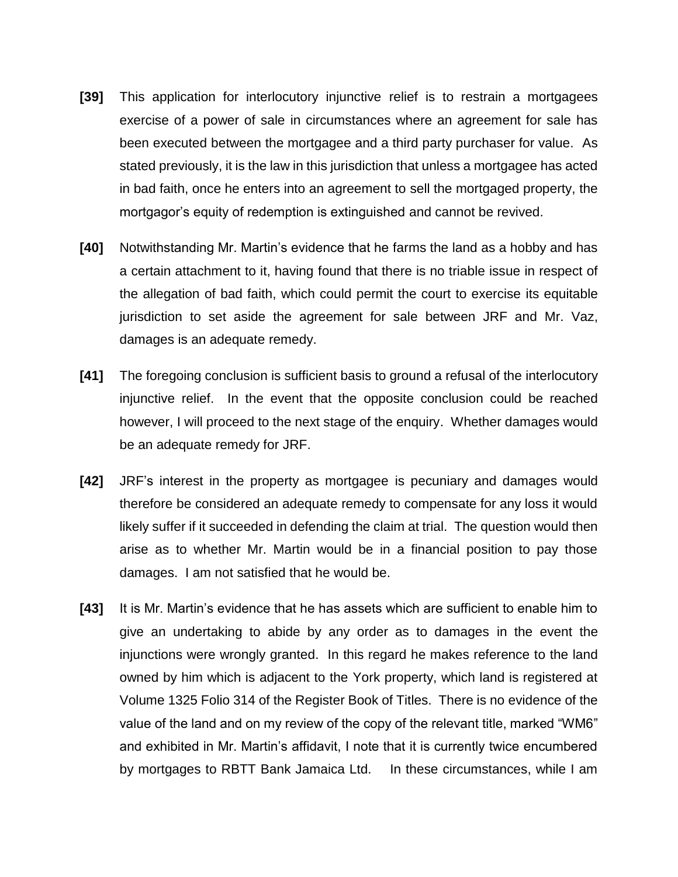- **[39]** This application for interlocutory injunctive relief is to restrain a mortgagees exercise of a power of sale in circumstances where an agreement for sale has been executed between the mortgagee and a third party purchaser for value. As stated previously, it is the law in this jurisdiction that unless a mortgagee has acted in bad faith, once he enters into an agreement to sell the mortgaged property, the mortgagor's equity of redemption is extinguished and cannot be revived.
- **[40]** Notwithstanding Mr. Martin's evidence that he farms the land as a hobby and has a certain attachment to it, having found that there is no triable issue in respect of the allegation of bad faith, which could permit the court to exercise its equitable jurisdiction to set aside the agreement for sale between JRF and Mr. Vaz, damages is an adequate remedy.
- **[41]** The foregoing conclusion is sufficient basis to ground a refusal of the interlocutory injunctive relief. In the event that the opposite conclusion could be reached however, I will proceed to the next stage of the enquiry. Whether damages would be an adequate remedy for JRF.
- **[42]** JRF's interest in the property as mortgagee is pecuniary and damages would therefore be considered an adequate remedy to compensate for any loss it would likely suffer if it succeeded in defending the claim at trial. The question would then arise as to whether Mr. Martin would be in a financial position to pay those damages. I am not satisfied that he would be.
- **[43]** It is Mr. Martin's evidence that he has assets which are sufficient to enable him to give an undertaking to abide by any order as to damages in the event the injunctions were wrongly granted. In this regard he makes reference to the land owned by him which is adjacent to the York property, which land is registered at Volume 1325 Folio 314 of the Register Book of Titles. There is no evidence of the value of the land and on my review of the copy of the relevant title, marked "WM6" and exhibited in Mr. Martin's affidavit, I note that it is currently twice encumbered by mortgages to RBTT Bank Jamaica Ltd. In these circumstances, while I am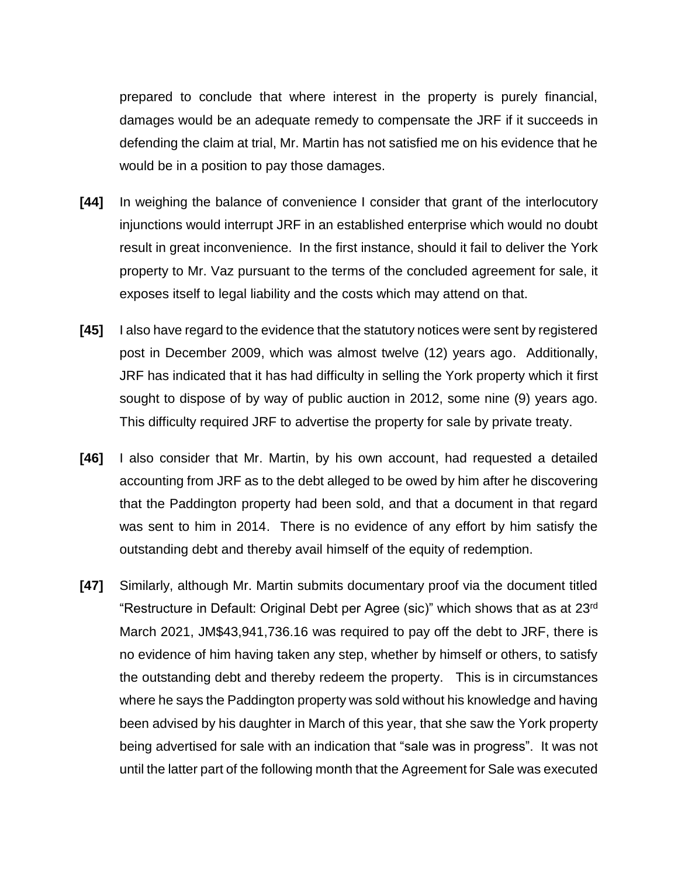prepared to conclude that where interest in the property is purely financial, damages would be an adequate remedy to compensate the JRF if it succeeds in defending the claim at trial, Mr. Martin has not satisfied me on his evidence that he would be in a position to pay those damages.

- **[44]** In weighing the balance of convenience I consider that grant of the interlocutory injunctions would interrupt JRF in an established enterprise which would no doubt result in great inconvenience. In the first instance, should it fail to deliver the York property to Mr. Vaz pursuant to the terms of the concluded agreement for sale, it exposes itself to legal liability and the costs which may attend on that.
- **[45]** I also have regard to the evidence that the statutory notices were sent by registered post in December 2009, which was almost twelve (12) years ago. Additionally, JRF has indicated that it has had difficulty in selling the York property which it first sought to dispose of by way of public auction in 2012, some nine (9) years ago. This difficulty required JRF to advertise the property for sale by private treaty.
- **[46]** I also consider that Mr. Martin, by his own account, had requested a detailed accounting from JRF as to the debt alleged to be owed by him after he discovering that the Paddington property had been sold, and that a document in that regard was sent to him in 2014. There is no evidence of any effort by him satisfy the outstanding debt and thereby avail himself of the equity of redemption.
- **[47]** Similarly, although Mr. Martin submits documentary proof via the document titled "Restructure in Default: Original Debt per Agree (sic)" which shows that as at 23rd March 2021, JM\$43,941,736.16 was required to pay off the debt to JRF, there is no evidence of him having taken any step, whether by himself or others, to satisfy the outstanding debt and thereby redeem the property. This is in circumstances where he says the Paddington property was sold without his knowledge and having been advised by his daughter in March of this year, that she saw the York property being advertised for sale with an indication that "sale was in progress". It was not until the latter part of the following month that the Agreement for Sale was executed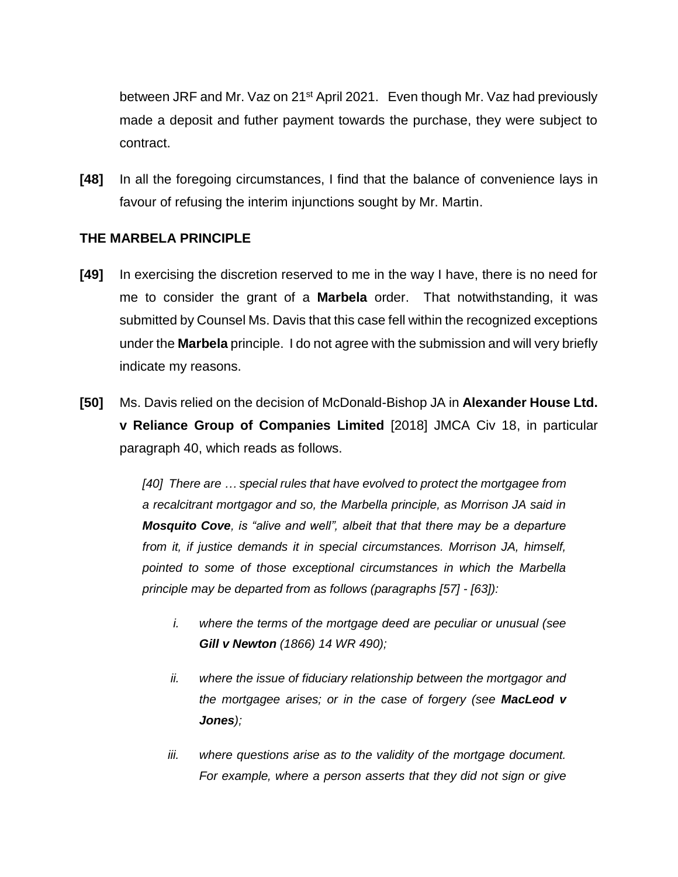between JRF and Mr. Vaz on 21<sup>st</sup> April 2021. Even though Mr. Vaz had previously made a deposit and futher payment towards the purchase, they were subject to contract.

**[48]** In all the foregoing circumstances, I find that the balance of convenience lays in favour of refusing the interim injunctions sought by Mr. Martin.

## **THE MARBELA PRINCIPLE**

- **[49]** In exercising the discretion reserved to me in the way I have, there is no need for me to consider the grant of a **Marbela** order. That notwithstanding, it was submitted by Counsel Ms. Davis that this case fell within the recognized exceptions under the **Marbela** principle. I do not agree with the submission and will very briefly indicate my reasons.
- **[50]** Ms. Davis relied on the decision of McDonald-Bishop JA in **Alexander House Ltd. v Reliance Group of Companies Limited** [2018] JMCA Civ 18, in particular paragraph 40, which reads as follows.

*[40] There are … special rules that have evolved to protect the mortgagee from a recalcitrant mortgagor and so, the Marbella principle, as Morrison JA said in Mosquito Cove, is "alive and well", albeit that that there may be a departure from it, if justice demands it in special circumstances. Morrison JA, himself, pointed to some of those exceptional circumstances in which the Marbella principle may be departed from as follows (paragraphs [57] - [63]):* 

- *i. where the terms of the mortgage deed are peculiar or unusual (see Gill v Newton (1866) 14 WR 490);*
- *ii. where the issue of fiduciary relationship between the mortgagor and the mortgagee arises; or in the case of forgery (see MacLeod v Jones);*
- *iii. where questions arise as to the validity of the mortgage document. For example, where a person asserts that they did not sign or give*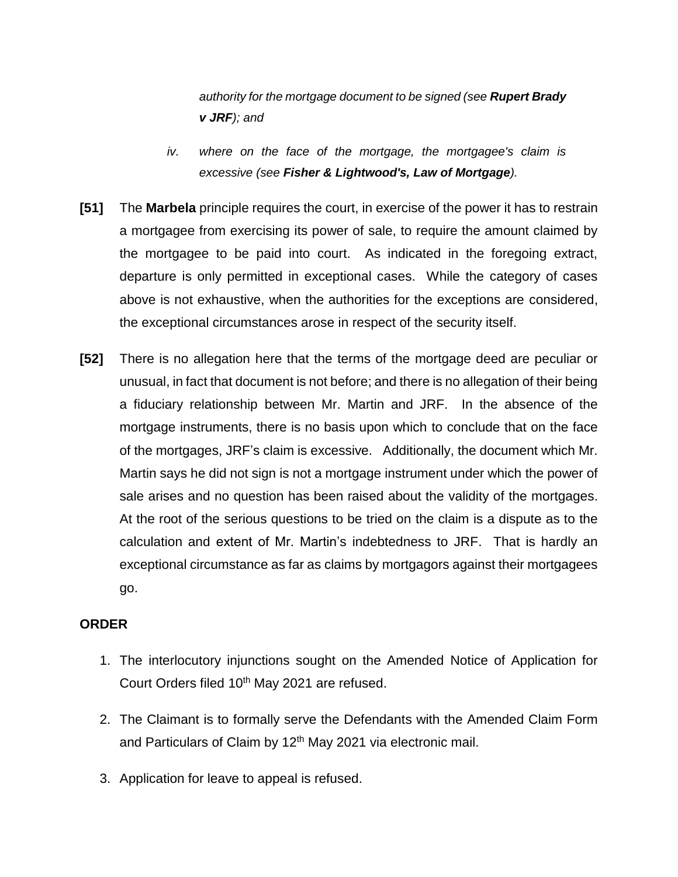*authority for the mortgage document to be signed (see Rupert Brady v JRF); and*

- *iv. where on the face of the mortgage, the mortgagee's claim is excessive (see Fisher & Lightwood's, Law of Mortgage).*
- **[51]** The **Marbela** principle requires the court, in exercise of the power it has to restrain a mortgagee from exercising its power of sale, to require the amount claimed by the mortgagee to be paid into court. As indicated in the foregoing extract, departure is only permitted in exceptional cases. While the category of cases above is not exhaustive, when the authorities for the exceptions are considered, the exceptional circumstances arose in respect of the security itself.
- **[52]** There is no allegation here that the terms of the mortgage deed are peculiar or unusual, in fact that document is not before; and there is no allegation of their being a fiduciary relationship between Mr. Martin and JRF. In the absence of the mortgage instruments, there is no basis upon which to conclude that on the face of the mortgages, JRF's claim is excessive. Additionally, the document which Mr. Martin says he did not sign is not a mortgage instrument under which the power of sale arises and no question has been raised about the validity of the mortgages. At the root of the serious questions to be tried on the claim is a dispute as to the calculation and extent of Mr. Martin's indebtedness to JRF. That is hardly an exceptional circumstance as far as claims by mortgagors against their mortgagees go.

## **ORDER**

- 1. The interlocutory injunctions sought on the Amended Notice of Application for Court Orders filed 10<sup>th</sup> May 2021 are refused.
- 2. The Claimant is to formally serve the Defendants with the Amended Claim Form and Particulars of Claim by 12<sup>th</sup> May 2021 via electronic mail.
- 3. Application for leave to appeal is refused.